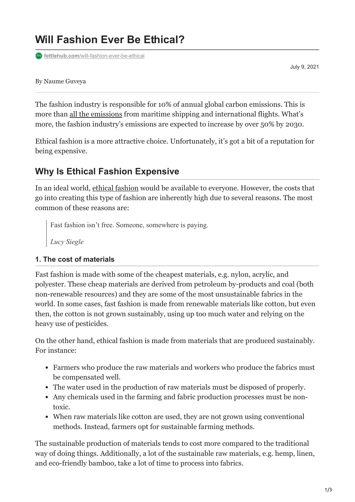# **Will Fashion Ever Be Ethical?**

**fat** fettlehub.com[/will-fashion-ever-be-ethical](https://fettlehub.com/will-fashion-ever-be-ethical/)

July 9, 2021

By Naume Guveya

The fashion industry is responsible for 10% of annual global carbon emissions. This is more than [all the emissions](https://www.europarl.europa.eu/news/en/headlines/society/20201208STO93327/the-impact-of-textile-production-and-waste-on-the-environment-infographic) from maritime shipping and international flights. What's more, the fashion industry's emissions are expected to increase by over 50% by 2030.

Ethical fashion is a more attractive choice. Unfortunately, it's got a bit of a reputation for being expensive.

## **Why Is Ethical Fashion Expensive**

In an ideal world, [ethical fashion](https://fettlehub.com/what-is-ethical-fashion/) would be available to everyone. However, the costs that go into creating this type of fashion are inherently high due to several reasons. The most common of these reasons are:

Fast fashion isn't free. Someone, somewhere is paying.

*Lucy Siegle*

#### **1. The cost of materials**

Fast fashion is made with some of the cheapest materials, e.g. nylon, acrylic, and polyester. These cheap materials are derived from petroleum by-products and coal (both non-renewable resources) and they are some of the most unsustainable fabrics in the world. In some cases, fast fashion is made from renewable materials like cotton, but even then, the cotton is not grown sustainably, using up too much water and relying on the heavy use of pesticides.

On the other hand, ethical fashion is made from materials that are produced sustainably. For instance:

- Farmers who produce the raw materials and workers who produce the fabrics must be compensated well.
- The water used in the production of raw materials must be disposed of properly.
- Any chemicals used in the farming and fabric production processes must be nontoxic.
- When raw materials like cotton are used, they are not grown using conventional methods. Instead, farmers opt for sustainable farming methods.

The sustainable production of materials tends to cost more compared to the traditional way of doing things. Additionally, a lot of the sustainable raw materials, e.g. hemp, linen, and eco-friendly bamboo, take a lot of time to process into fabrics.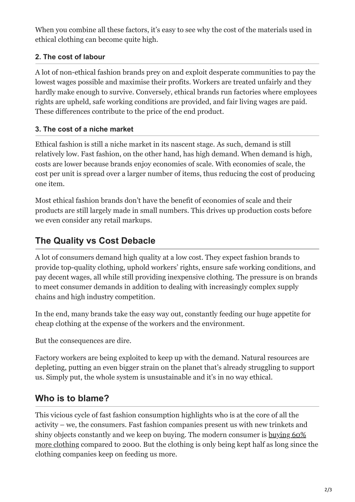When you combine all these factors, it's easy to see why the cost of the materials used in ethical clothing can become quite high.

### **2. The cost of labour**

A lot of non-ethical fashion brands prey on and exploit desperate communities to pay the lowest wages possible and maximise their profits. Workers are treated unfairly and they hardly make enough to survive. Conversely, ethical brands run factories where employees rights are upheld, safe working conditions are provided, and fair living wages are paid. These differences contribute to the price of the end product.

### **3. The cost of a niche market**

Ethical fashion is still a niche market in its nascent stage. As such, demand is still relatively low. Fast fashion, on the other hand, has high demand. When demand is high, costs are lower because brands enjoy economies of scale. With economies of scale, the cost per unit is spread over a larger number of items, thus reducing the cost of producing one item.

Most ethical fashion brands don't have the benefit of economies of scale and their products are still largely made in small numbers. This drives up production costs before we even consider any retail markups.

## **The Quality vs Cost Debacle**

A lot of consumers demand high quality at a low cost. They expect fashion brands to provide top-quality clothing, uphold workers' rights, ensure safe working conditions, and pay decent wages, all while still providing inexpensive clothing. The pressure is on brands to meet consumer demands in addition to dealing with increasingly complex supply chains and high industry competition.

In the end, many brands take the easy way out, constantly feeding our huge appetite for cheap clothing at the expense of the workers and the environment.

But the consequences are dire.

Factory workers are being exploited to keep up with the demand. Natural resources are depleting, putting an even bigger strain on the planet that's already struggling to support us. Simply put, the whole system is unsustainable and it's in no way ethical.

## **Who is to blame?**

This vicious cycle of fast fashion consumption highlights who is at the core of all the activity – we, the consumers. Fast fashion companies present us with new trinkets and [shiny objects constantly and we keep on buying. The modern consumer is buying 60%](https://www.mckinsey.com/business-functions/sustainability/our-insights/style-thats-sustainable-a-new-fast-fashion-formula) more clothing compared to 2000. But the clothing is only being kept half as long since the clothing companies keep on feeding us more.